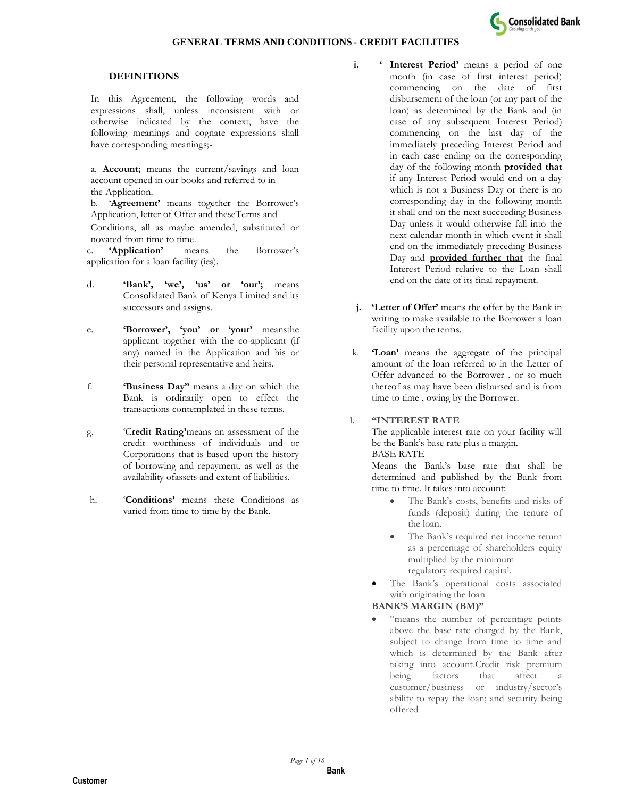

#### **DEFINITIONS**

In this Agreement, the following words and expressions shall, unless inconsistent with or otherwise indicated by the context, have the following meanings and cognate expressions shall have corresponding meanings;-

a. **Account;** means the current/savings and loan account opened in our books and referred to in the Application.

b. '**Agreement'** means together the Borrower's Application, letter of Offer and theseTerms and

Conditions, all as maybe amended, substituted or novated from time to time.

c. **'Application'** means the Borrower's application for a loan facility (ies).

- d. **'Bank', 'we', 'us' or 'our';** means Consolidated Bank of Kenya Limited and its successors and assigns.
- e. **'Borrower', 'you' or 'your'** meansthe applicant together with the co-applicant (if any) named in the Application and his or their personal representative and heirs.
- f. **'Business Day"** means a day on which the Bank is ordinarily open to effect the transactions contemplated in these terms.
- g. 'C**redit Rating'**means an assessment of the credit worthiness of individuals and or Corporations that is based upon the history of borrowing and repayment, as well as the availability ofassets and extent of liabilities.
- h. '**Conditions'** means these Conditions as varied from time to time by the Bank.
- **i. '** Interest Period' means a period of one month (in case of first interest period) commencing on the date of first disbursement of the loan (or any part of the loan) as determined by the Bank and (in case of any subsequent Interest Period) commencing on the last day of the immediately preceding Interest Period and in each case ending on the corresponding day of the following month **provided that** if any Interest Period would end on a day which is not a Business Day or there is no corresponding day in the following month it shall end on the next succeeding Business Day unless it would otherwise fall into the next calendar month in which event it shall end on the immediately preceding Business Day and **provided further that** the final Interest Period relative to the Loan shall end on the date of its final repayment.
- **j. 'Letter of Offer'** means the offer by the Bank in writing to make available to the Borrower a loan facility upon the terms.
- k. **'Loan'** means the aggregate of the principal amount of the loan referred to in the Letter of Offer advanced to the Borrower , or so much thereof as may have been disbursed and is from time to time , owing by the Borrower.

#### l. **"INTEREST RATE**

The applicable interest rate on your facility will be the Bank's base rate plus a margin. BASE RATE

Means the Bank's base rate that shall be determined and published by the Bank from time to time. It takes into account:

- The Bank's costs, benefits and risks of funds (deposit) during the tenure of the loan.
- The Bank's required net income return as a percentage of shareholders equity multiplied by the minimum regulatory required capital.
- The Bank's operational costs associated with originating the loan

### **BANK'S MARGIN (BM)"**

• "means the number of percentage points above the base rate charged by the Bank, subject to change from time to time and which is determined by the Bank after taking into account.Credit risk premium being factors that affect a customer/business or industry/sector's ability to repay the loan; and security being offered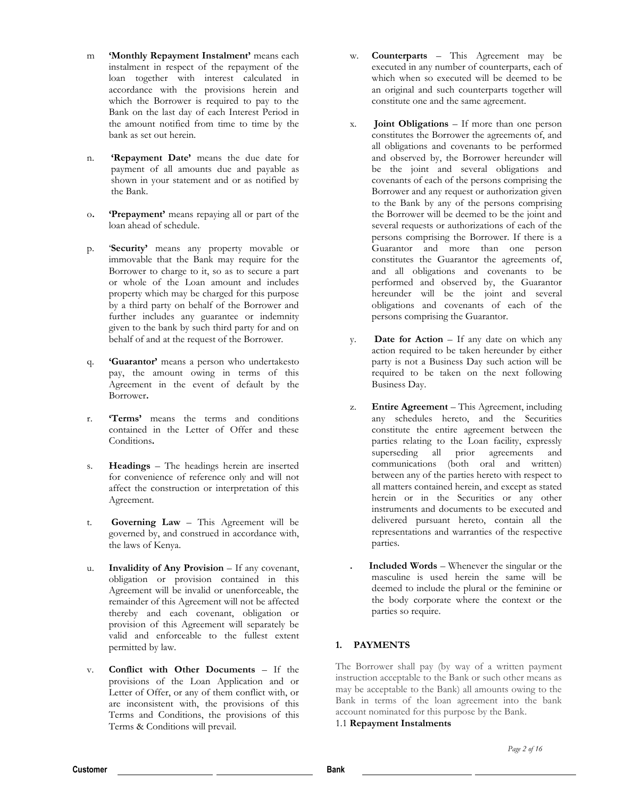- m **'Monthly Repayment Instalment'** means each instalment in respect of the repayment of the loan together with interest calculated in accordance with the provisions herein and which the Borrower is required to pay to the Bank on the last day of each Interest Period in the amount notified from time to time by the bank as set out herein.
- n. **'Repayment Date'** means the due date for payment of all amounts due and payable as shown in your statement and or as notified by the Bank.
- o**. 'Prepayment'** means repaying all or part of the loan ahead of schedule.
- p. '**Security'** means any property movable or immovable that the Bank may require for the Borrower to charge to it, so as to secure a part or whole of the Loan amount and includes property which may be charged for this purpose by a third party on behalf of the Borrower and further includes any guarantee or indemnity given to the bank by such third party for and on behalf of and at the request of the Borrower.
- q. **'Guarantor'** means a person who undertakesto pay, the amount owing in terms of this Agreement in the event of default by the Borrower**.**
- r. **'Terms'** means the terms and conditions contained in the Letter of Offer and these Conditions**.**
- s. **Headings**  The headings herein are inserted for convenience of reference only and will not affect the construction or interpretation of this Agreement.
- t. **Governing Law**  This Agreement will be governed by, and construed in accordance with, the laws of Kenya.
- u. **Invalidity of Any Provision** If any covenant, obligation or provision contained in this Agreement will be invalid or unenforceable, the remainder of this Agreement will not be affected thereby and each covenant, obligation or provision of this Agreement will separately be valid and enforceable to the fullest extent permitted by law.
- v. **Conflict with Other Documents**  If the provisions of the Loan Application and or Letter of Offer, or any of them conflict with, or are inconsistent with, the provisions of this Terms and Conditions, the provisions of this Terms & Conditions will prevail.
- w. **Counterparts**  This Agreement may be executed in any number of counterparts, each of which when so executed will be deemed to be an original and such counterparts together will constitute one and the same agreement.
- x. **Joint Obligations**  If more than one person constitutes the Borrower the agreements of, and all obligations and covenants to be performed and observed by, the Borrower hereunder will be the joint and several obligations and covenants of each of the persons comprising the Borrower and any request or authorization given to the Bank by any of the persons comprising the Borrower will be deemed to be the joint and several requests or authorizations of each of the persons comprising the Borrower. If there is a Guarantor and more than one person constitutes the Guarantor the agreements of, and all obligations and covenants to be performed and observed by, the Guarantor hereunder will be the joint and several obligations and covenants of each of the persons comprising the Guarantor.
- y. **Date for Action**  If any date on which any action required to be taken hereunder by either party is not a Business Day such action will be required to be taken on the next following Business Day.
- z. **Entire Agreement**  This Agreement, including any schedules hereto, and the Securities constitute the entire agreement between the parties relating to the Loan facility, expressly superseding all prior agreements and communications (both oral and written) between any of the parties hereto with respect to all matters contained herein, and except as stated herein or in the Securities or any other instruments and documents to be executed and delivered pursuant hereto, contain all the representations and warranties of the respective parties.
	- **. Included Words**  Whenever the singular or the masculine is used herein the same will be deemed to include the plural or the feminine or the body corporate where the context or the parties so require.

### **1. PAYMENTS**

The Borrower shall pay (by way of a written payment instruction acceptable to the Bank or such other means as may be acceptable to the Bank) all amounts owing to the Bank in terms of the loan agreement into the bank account nominated for this purpose by the Bank.

1.1 **Repayment Instalments**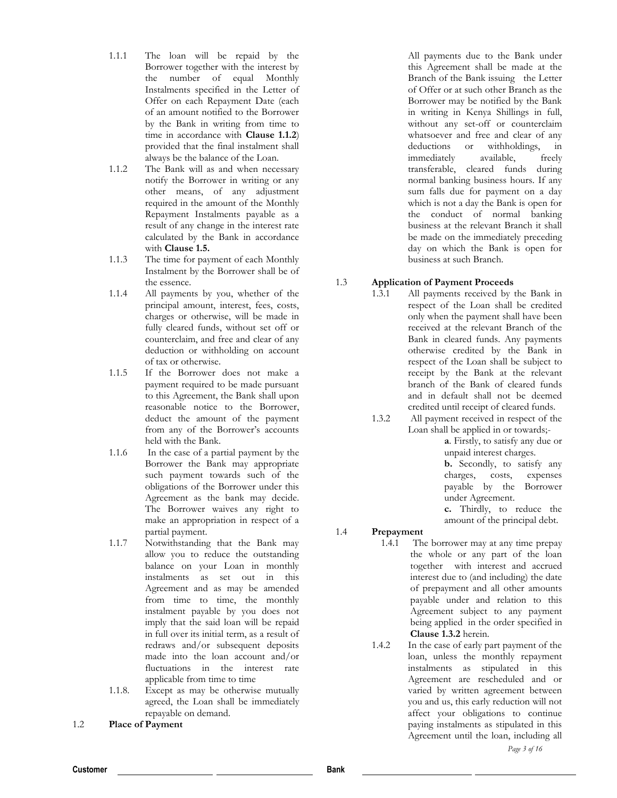- 1.1.1 The loan will be repaid by the Borrower together with the interest by the number of equal Monthly Instalments specified in the Letter of Offer on each Repayment Date (each of an amount notified to the Borrower by the Bank in writing from time to time in accordance with **Clause 1.1.2**) provided that the final instalment shall always be the balance of the Loan.
- 1.1.2 The Bank will as and when necessary notify the Borrower in writing or any other means, of any adjustment required in the amount of the Monthly Repayment Instalments payable as a result of any change in the interest rate calculated by the Bank in accordance with **Clause 1.5.**
- 1.1.3 The time for payment of each Monthly Instalment by the Borrower shall be of the essence.
- 1.1.4 All payments by you, whether of the principal amount, interest, fees, costs, charges or otherwise, will be made in fully cleared funds, without set off or counterclaim, and free and clear of any deduction or withholding on account of tax or otherwise.
- 1.1.5 If the Borrower does not make a payment required to be made pursuant to this Agreement, the Bank shall upon reasonable notice to the Borrower, deduct the amount of the payment from any of the Borrower's accounts held with the Bank.
- 1.1.6 In the case of a partial payment by the Borrower the Bank may appropriate such payment towards such of the obligations of the Borrower under this Agreement as the bank may decide. The Borrower waives any right to make an appropriation in respect of a partial payment.
- 1.1.7 Notwithstanding that the Bank may allow you to reduce the outstanding balance on your Loan in monthly instalments as set out in this Agreement and as may be amended from time to time, the monthly instalment payable by you does not imply that the said loan will be repaid in full over its initial term, as a result of redraws and/or subsequent deposits made into the loan account and/or fluctuations in the interest rate applicable from time to time
- 1.1.8. Except as may be otherwise mutually agreed, the Loan shall be immediately repayable on demand.
- 1.2 **Place of Payment**

All payments due to the Bank under this Agreement shall be made at the Branch of the Bank issuing the Letter of Offer or at such other Branch as the Borrower may be notified by the Bank in writing in Kenya Shillings in full, without any set-off or counterclaim whatsoever and free and clear of any deductions or withholdings, in immediately available, freely transferable, cleared funds during normal banking business hours. If any sum falls due for payment on a day which is not a day the Bank is open for the conduct of normal banking business at the relevant Branch it shall be made on the immediately preceding day on which the Bank is open for business at such Branch.

# 1.3 **Application of Payment Proceeds**

- 1.3.1 All payments received by the Bank in respect of the Loan shall be credited only when the payment shall have been received at the relevant Branch of the Bank in cleared funds. Any payments otherwise credited by the Bank in respect of the Loan shall be subject to receipt by the Bank at the relevant branch of the Bank of cleared funds and in default shall not be deemed credited until receipt of cleared funds.
- 1.3.2 All payment received in respect of the Loan shall be applied in or towards;-

**a**. Firstly, to satisfy any due or unpaid interest charges.

**b.** Secondly, to satisfy any charges, costs, expenses payable by the Borrower under Agreement.

**c.** Thirdly, to reduce the amount of the principal debt.

# 1.4 **Prepayment**

- 1.4.1 The borrower may at any time prepay the whole or any part of the loan together with interest and accrued interest due to (and including) the date of prepayment and all other amounts payable under and relation to this Agreement subject to any payment being applied in the order specified in **Clause 1.3.2** herein.
- 1.4.2 In the case of early part payment of the loan, unless the monthly repayment instalments as stipulated in this Agreement are rescheduled and or varied by written agreement between you and us, this early reduction will not affect your obligations to continue paying instalments as stipulated in this Agreement until the loan, including all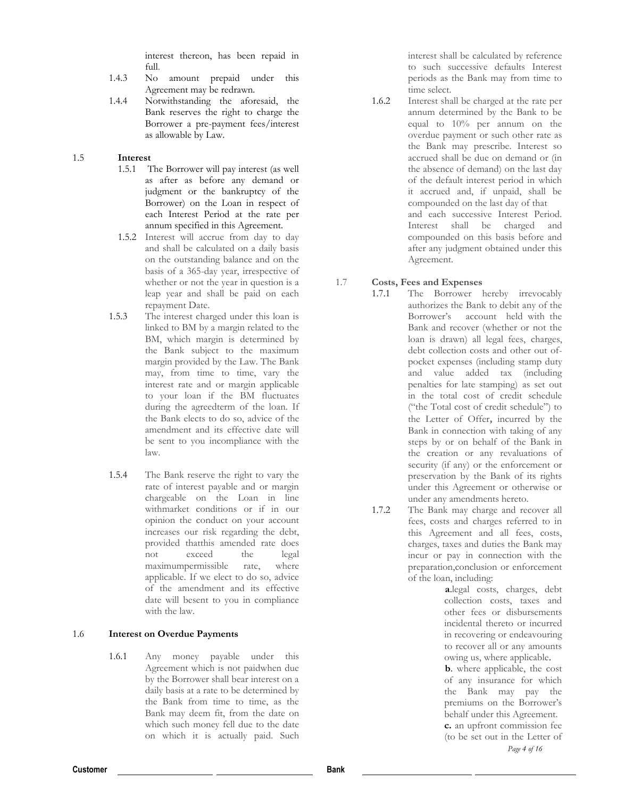interest thereon, has been repaid in full.

- 1.4.3 No amount prepaid under this Agreement may be redrawn.
- 1.4.4 Notwithstanding the aforesaid, the Bank reserves the right to charge the Borrower a pre-payment fees/interest as allowable by Law.

#### 1.5 **Interest**

- 1.5.1 The Borrower will pay interest (as well as after as before any demand or judgment or the bankruptcy of the Borrower) on the Loan in respect of each Interest Period at the rate per annum specified in this Agreement.
- 1.5.2 Interest will accrue from day to day and shall be calculated on a daily basis on the outstanding balance and on the basis of a 365-day year, irrespective of whether or not the year in question is a leap year and shall be paid on each repayment Date.
- 1.5.3 The interest charged under this loan is linked to BM by a margin related to the BM, which margin is determined by the Bank subject to the maximum margin provided by the Law. The Bank may, from time to time, vary the interest rate and or margin applicable to your loan if the BM fluctuates during the agreedterm of the loan. If the Bank elects to do so, advice of the amendment and its effective date will be sent to you incompliance with the law.
- 1.5.4 The Bank reserve the right to vary the rate of interest payable and or margin chargeable on the Loan in line withmarket conditions or if in our opinion the conduct on your account increases our risk regarding the debt, provided thatthis amended rate does not exceed the legal maximumpermissible rate, where applicable. If we elect to do so, advice of the amendment and its effective date will besent to you in compliance with the law.

### 1.6 **Interest on Overdue Payments**

1.6.1 Any money payable under this Agreement which is not paidwhen due by the Borrower shall bear interest on a daily basis at a rate to be determined by the Bank from time to time, as the Bank may deem fit, from the date on which such money fell due to the date on which it is actually paid. Such

interest shall be calculated by reference to such successive defaults Interest periods as the Bank may from time to time select.

1.6.2 Interest shall be charged at the rate per annum determined by the Bank to be equal to 10% per annum on the overdue payment or such other rate as the Bank may prescribe. Interest so accrued shall be due on demand or (in the absence of demand) on the last day of the default interest period in which it accrued and, if unpaid, shall be compounded on the last day of that and each successive Interest Period. Interest shall be charged and compounded on this basis before and after any judgment obtained under this Agreement.

## 1.7 **Costs, Fees and Expenses**

- 1.7.1 The Borrower hereby irrevocably authorizes the Bank to debit any of the Borrower's account held with the Bank and recover (whether or not the loan is drawn) all legal fees, charges, debt collection costs and other out ofpocket expenses (including stamp duty and value added tax (including penalties for late stamping) as set out in the total cost of credit schedule ("the Total cost of credit schedule") to the Letter of Offer*,* incurred by the Bank in connection with taking of any steps by or on behalf of the Bank in the creation or any revaluations of security (if any) or the enforcement or preservation by the Bank of its rights under this Agreement or otherwise or under any amendments hereto.
- 1.7.2 The Bank may charge and recover all fees, costs and charges referred to in this Agreement and all fees, costs, charges, taxes and duties the Bank may incur or pay in connection with the preparation,conclusion or enforcement of the loan, including:

**a**.legal costs, charges, debt collection costs, taxes and other fees or disbursements incidental thereto or incurred in recovering or endeavouring to recover all or any amounts owing us, where applicable.

*Page 4 of 16* **b**. where applicable, the cost of any insurance for which the Bank may pay the premiums on the Borrower's behalf under this Agreement. **c.** an upfront commission fee (to be set out in the Letter of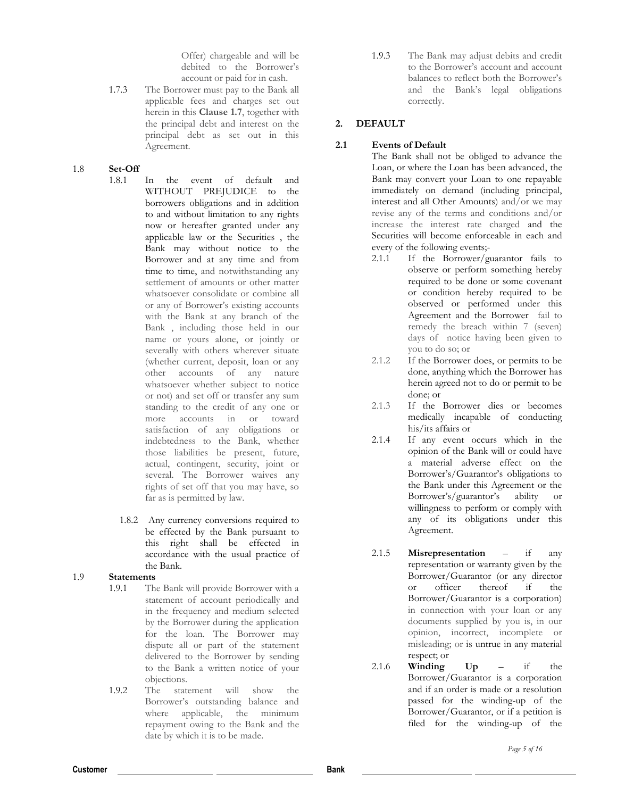Offer) chargeable and will be debited to the Borrower's account or paid for in cash.

1.7.3 The Borrower must pay to the Bank all applicable fees and charges set out herein in this **Clause 1.7**, together with the principal debt and interest on the principal debt as set out in this Agreement.

#### 1.8 **Set-Off**

- 1.8.1 In the event of default and WITHOUT PREJUDICE to the borrowers obligations and in addition to and without limitation to any rights now or hereafter granted under any applicable law or the Securities , the Bank may without notice to the Borrower and at any time and from time to time, and notwithstanding any settlement of amounts or other matter whatsoever consolidate or combine all or any of Borrower's existing accounts with the Bank at any branch of the Bank , including those held in our name or yours alone, or jointly or severally with others wherever situate (whether current, deposit, loan or any other accounts of any nature whatsoever whether subject to notice or not) and set off or transfer any sum standing to the credit of any one or more accounts in or toward satisfaction of any obligations or indebtedness to the Bank, whether those liabilities be present, future, actual, contingent, security, joint or several. The Borrower waives any rights of set off that you may have, so far as is permitted by law.
	- 1.8.2 Any currency conversions required to be effected by the Bank pursuant to this right shall be effected in accordance with the usual practice of the Bank.
- 1.9 **Statements**
	- 1.9.1 The Bank will provide Borrower with a statement of account periodically and in the frequency and medium selected by the Borrower during the application for the loan. The Borrower may dispute all or part of the statement delivered to the Borrower by sending to the Bank a written notice of your objections.
	- 1.9.2 The statement will show the Borrower's outstanding balance and where applicable, the minimum repayment owing to the Bank and the date by which it is to be made.

1.9.3 The Bank may adjust debits and credit to the Borrower's account and account balances to reflect both the Borrower's and the Bank's legal obligations correctly.

# **2. DEFAULT**

# **2.1 Events of Default**

The Bank shall not be obliged to advance the Loan, or where the Loan has been advanced, the Bank may convert your Loan to one repayable immediately on demand (including principal, interest and all Other Amounts) and/or we may revise any of the terms and conditions and/or increase the interest rate charged and the Securities will become enforceable in each and every of the following events;-

- 2.1.1 If the Borrower/guarantor fails to observe or perform something hereby required to be done or some covenant or condition hereby required to be observed or performed under this Agreement and the Borrower fail to remedy the breach within 7 (seven) days of notice having been given to you to do so; or
- 2.1.2 If the Borrower does, or permits to be done, anything which the Borrower has herein agreed not to do or permit to be done; or
- 2.1.3 If the Borrower dies or becomes medically incapable of conducting his/its affairs or
- 2.1.4 If any event occurs which in the opinion of the Bank will or could have a material adverse effect on the Borrower's/Guarantor's obligations to the Bank under this Agreement or the Borrower's/guarantor's ability or willingness to perform or comply with any of its obligations under this Agreement.
- 2.1.5 **Misrepresentation**  if any representation or warranty given by the Borrower/Guarantor (or any director or officer thereof if the Borrower/Guarantor is a corporation) in connection with your loan or any documents supplied by you is, in our opinion, incorrect, incomplete or misleading; or is untrue in any material respect; or
- 2.1.6 **Winding Up**  if the Borrower/Guarantor is a corporation and if an order is made or a resolution passed for the winding-up of the Borrower/Guarantor, or if a petition is filed for the winding-up of the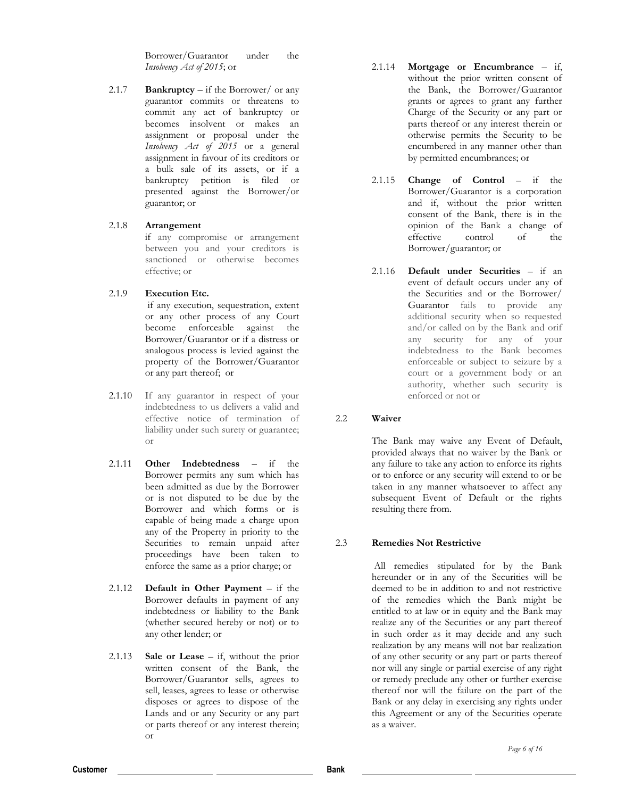Borrower/Guarantor under the *Insolvency Act of 2015*; or

2.1.7 **Bankruptcy** – if the Borrower/ or any guarantor commits or threatens to commit any act of bankruptcy or becomes insolvent or makes an assignment or proposal under the *Insolvency Act of 2015* or a general assignment in favour of its creditors or a bulk sale of its assets, or if a bankruptcy petition is filed or presented against the Borrower/or guarantor; or

#### 2.1.8 **Arrangement**

if any compromise or arrangement between you and your creditors is sanctioned or otherwise becomes effective; or

### 2.1.9 **Execution Etc.**

if any execution, sequestration, extent or any other process of any Court become enforceable against the Borrower/Guarantor or if a distress or analogous process is levied against the property of the Borrower/Guarantor or any part thereof; or

- 2.1.10 If any guarantor in respect of your indebtedness to us delivers a valid and effective notice of termination of liability under such surety or guarantee; or
- 2.1.11 **Other Indebtedness**  if the Borrower permits any sum which has been admitted as due by the Borrower or is not disputed to be due by the Borrower and which forms or is capable of being made a charge upon any of the Property in priority to the Securities to remain unpaid after proceedings have been taken to enforce the same as a prior charge; or
- 2.1.12 **Default in Other Payment**  if the Borrower defaults in payment of any indebtedness or liability to the Bank (whether secured hereby or not) or to any other lender; or
- 2.1.13 **Sale or Lease**  if, without the prior written consent of the Bank, the Borrower/Guarantor sells, agrees to sell, leases, agrees to lease or otherwise disposes or agrees to dispose of the Lands and or any Security or any part or parts thereof or any interest therein; or
- 2.1.14 **Mortgage or Encumbrance**  if, without the prior written consent of the Bank, the Borrower/Guarantor grants or agrees to grant any further Charge of the Security or any part or parts thereof or any interest therein or otherwise permits the Security to be encumbered in any manner other than by permitted encumbrances; or
- 2.1.15 **Change of Control**  if the Borrower/Guarantor is a corporation and if, without the prior written consent of the Bank, there is in the opinion of the Bank a change of effective control of the Borrower/guarantor; or
- 2.1.16 **Default under Securities**  if an event of default occurs under any of the Securities and or the Borrower/ Guarantor fails to provide any additional security when so requested and/or called on by the Bank and orif any security for any of your indebtedness to the Bank becomes enforceable or subject to seizure by a court or a government body or an authority, whether such security is enforced or not or

### 2.2 **Waiver**

The Bank may waive any Event of Default, provided always that no waiver by the Bank or any failure to take any action to enforce its rights or to enforce or any security will extend to or be taken in any manner whatsoever to affect any subsequent Event of Default or the rights resulting there from.

# 2.3 **Remedies Not Restrictive**

All remedies stipulated for by the Bank hereunder or in any of the Securities will be deemed to be in addition to and not restrictive of the remedies which the Bank might be entitled to at law or in equity and the Bank may realize any of the Securities or any part thereof in such order as it may decide and any such realization by any means will not bar realization of any other security or any part or parts thereof nor will any single or partial exercise of any right or remedy preclude any other or further exercise thereof nor will the failure on the part of the Bank or any delay in exercising any rights under this Agreement or any of the Securities operate as a waiver.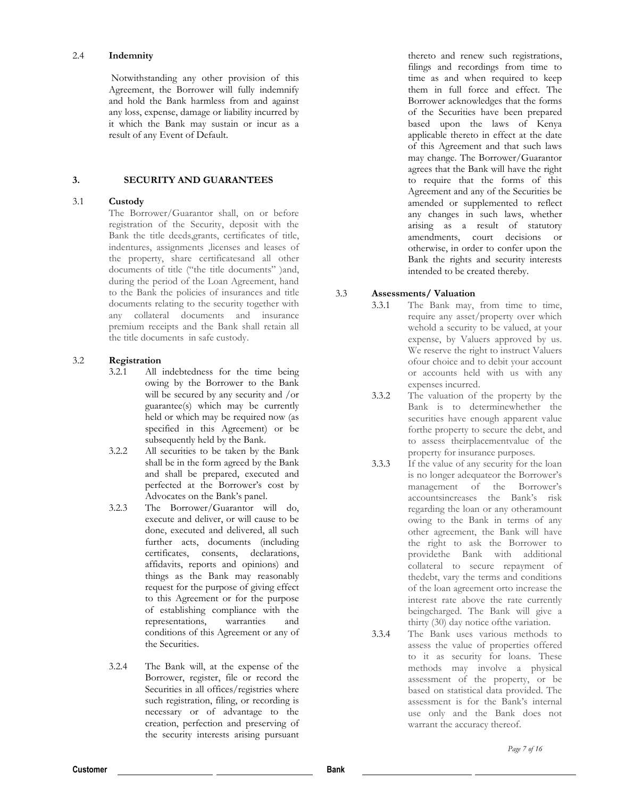#### 2.4 **Indemnity**

Notwithstanding any other provision of this Agreement, the Borrower will fully indemnify and hold the Bank harmless from and against any loss, expense, damage or liability incurred by it which the Bank may sustain or incur as a result of any Event of Default.

# **3. SECURITY AND GUARANTEES**

## 3.1 **Custody**

The Borrower/Guarantor shall, on or before registration of the Security, deposit with the Bank the title deeds,grants, certificates of title, indentures, assignments ,licenses and leases of the property, share certificatesand all other documents of title ("the title documents" )and, during the period of the Loan Agreement, hand to the Bank the policies of insurances and title documents relating to the security together with any collateral documents and insurance premium receipts and the Bank shall retain all the title documents in safe custody.

# 3.2 **Registration**

- 3.2.1 All indebtedness for the time being owing by the Borrower to the Bank will be secured by any security and /or guarantee(s) which may be currently held or which may be required now (as specified in this Agreement) or be subsequently held by the Bank.
- 3.2.2 All securities to be taken by the Bank shall be in the form agreed by the Bank and shall be prepared, executed and perfected at the Borrower's cost by Advocates on the Bank's panel.
- 3.2.3 The Borrower/Guarantor will do, execute and deliver, or will cause to be done, executed and delivered, all such further acts, documents (including certificates, consents, declarations, affidavits, reports and opinions) and things as the Bank may reasonably request for the purpose of giving effect to this Agreement or for the purpose of establishing compliance with the representations, warranties and conditions of this Agreement or any of the Securities.
- 3.2.4 The Bank will, at the expense of the Borrower, register, file or record the Securities in all offices/registries where such registration, filing, or recording is necessary or of advantage to the creation, perfection and preserving of the security interests arising pursuant

thereto and renew such registrations, filings and recordings from time to time as and when required to keep them in full force and effect. The Borrower acknowledges that the forms of the Securities have been prepared based upon the laws of Kenya applicable thereto in effect at the date of this Agreement and that such laws may change. The Borrower/Guarantor agrees that the Bank will have the right to require that the forms of this Agreement and any of the Securities be amended or supplemented to reflect any changes in such laws, whether arising as a result of statutory amendments, court decisions or otherwise, in order to confer upon the Bank the rights and security interests intended to be created thereby.

# 3.3 **Assessments/ Valuation**

- 3.3.1 The Bank may, from time to time, require any asset/property over which wehold a security to be valued, at your expense, by Valuers approved by us. We reserve the right to instruct Valuers ofour choice and to debit your account or accounts held with us with any expenses incurred.
- 3.3.2 The valuation of the property by the Bank is to determinewhether the securities have enough apparent value forthe property to secure the debt, and to assess theirplacementvalue of the property for insurance purposes.
- 3.3.3 If the value of any security for the loan is no longer adequateor the Borrower's management of the Borrower's accountsincreases the Bank's risk regarding the loan or any otheramount owing to the Bank in terms of any other agreement, the Bank will have the right to ask the Borrower to providethe Bank with additional collateral to secure repayment of thedebt, vary the terms and conditions of the loan agreement orto increase the interest rate above the rate currently beingcharged. The Bank will give a thirty (30) day notice ofthe variation.
- 3.3.4 The Bank uses various methods to assess the value of properties offered to it as security for loans. These methods may involve a physical assessment of the property, or be based on statistical data provided. The assessment is for the Bank's internal use only and the Bank does not warrant the accuracy thereof.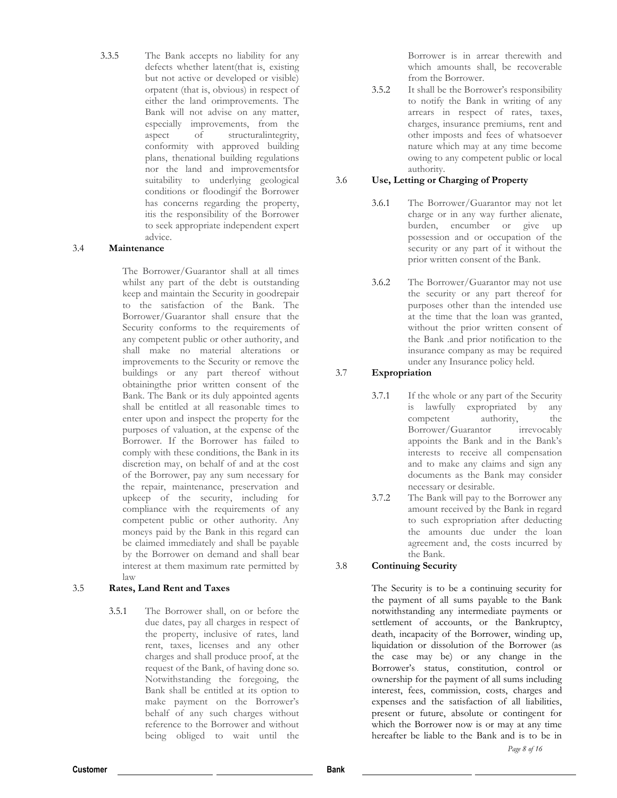3.3.5 The Bank accepts no liability for any defects whether latent(that is, existing but not active or developed or visible) orpatent (that is, obvious) in respect of either the land orimprovements. The Bank will not advise on any matter, especially improvements, from the aspect of structuralintegrity, conformity with approved building plans, thenational building regulations nor the land and improvementsfor suitability to underlying geological conditions or floodingif the Borrower has concerns regarding the property, itis the responsibility of the Borrower to seek appropriate independent expert advice.

### 3.4 **Maintenance**

The Borrower/Guarantor shall at all times whilst any part of the debt is outstanding keep and maintain the Security in goodrepair to the satisfaction of the Bank. The Borrower/Guarantor shall ensure that the Security conforms to the requirements of any competent public or other authority, and shall make no material alterations or improvements to the Security or remove the buildings or any part thereof without obtainingthe prior written consent of the Bank. The Bank or its duly appointed agents shall be entitled at all reasonable times to enter upon and inspect the property for the purposes of valuation, at the expense of the Borrower. If the Borrower has failed to comply with these conditions, the Bank in its discretion may, on behalf of and at the cost of the Borrower, pay any sum necessary for the repair, maintenance, preservation and upkeep of the security, including for compliance with the requirements of any competent public or other authority. Any moneys paid by the Bank in this regard can be claimed immediately and shall be payable by the Borrower on demand and shall bear interest at them maximum rate permitted by law

### 3.5 **Rates, Land Rent and Taxes**

3.5.1 The Borrower shall, on or before the due dates, pay all charges in respect of the property, inclusive of rates, land rent, taxes, licenses and any other charges and shall produce proof, at the request of the Bank, of having done so. Notwithstanding the foregoing, the Bank shall be entitled at its option to make payment on the Borrower's behalf of any such charges without reference to the Borrower and without being obliged to wait until the

Borrower is in arrear therewith and which amounts shall, be recoverable from the Borrower.

3.5.2 It shall be the Borrower's responsibility to notify the Bank in writing of any arrears in respect of rates, taxes, charges, insurance premiums, rent and other imposts and fees of whatsoever nature which may at any time become owing to any competent public or local authority.

## 3.6 **Use, Letting or Charging of Property**

- 3.6.1 The Borrower/Guarantor may not let charge or in any way further alienate, burden, encumber or give up possession and or occupation of the security or any part of it without the prior written consent of the Bank.
- 3.6.2 The Borrower/Guarantor may not use the security or any part thereof for purposes other than the intended use at the time that the loan was granted, without the prior written consent of the Bank .and prior notification to the insurance company as may be required under any Insurance policy held.

# 3.7 **Expropriation**

- 3.7.1 If the whole or any part of the Security is lawfully expropriated by any competent authority, the Borrower/Guarantor irrevocably appoints the Bank and in the Bank's interests to receive all compensation and to make any claims and sign any documents as the Bank may consider necessary or desirable.
- 3.7.2 The Bank will pay to the Borrower any amount received by the Bank in regard to such expropriation after deducting the amounts due under the loan agreement and, the costs incurred by the Bank.

# 3.8 **Continuing Security**

The Security is to be a continuing security for the payment of all sums payable to the Bank notwithstanding any intermediate payments or settlement of accounts, or the Bankruptcy, death, incapacity of the Borrower, winding up, liquidation or dissolution of the Borrower (as the case may be) or any change in the Borrower's status, constitution, control or ownership for the payment of all sums including interest, fees, commission, costs, charges and expenses and the satisfaction of all liabilities, present or future, absolute or contingent for which the Borrower now is or may at any time hereafter be liable to the Bank and is to be in

*Page 8 of 16*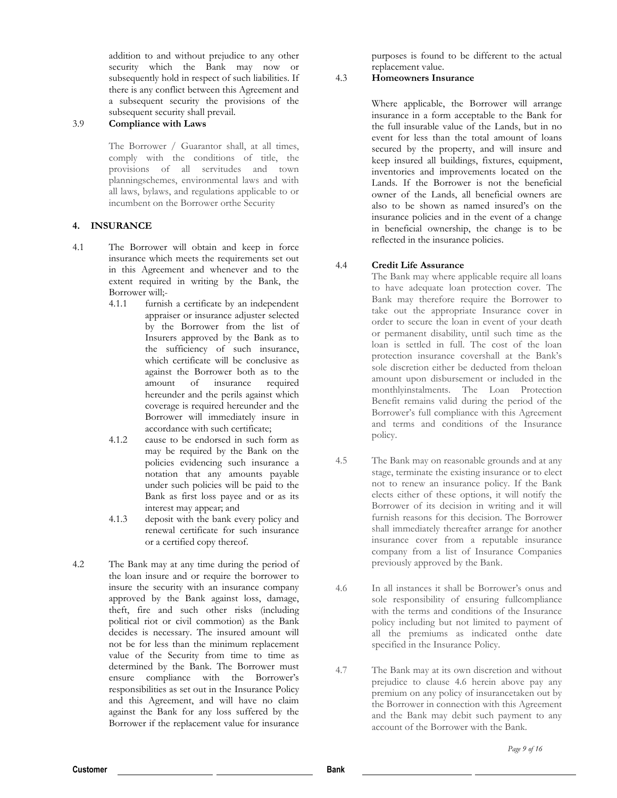addition to and without prejudice to any other security which the Bank may now or subsequently hold in respect of such liabilities. If there is any conflict between this Agreement and a subsequent security the provisions of the subsequent security shall prevail.

#### 3.9 **Compliance with Laws**

The Borrower / Guarantor shall, at all times, comply with the conditions of title, the provisions of all servitudes and town planningschemes, environmental laws and with all laws, bylaws, and regulations applicable to or incumbent on the Borrower orthe Security

### **4. INSURANCE**

- 4.1 The Borrower will obtain and keep in force insurance which meets the requirements set out in this Agreement and whenever and to the extent required in writing by the Bank, the Borrower will;-
	- 4.1.1 furnish a certificate by an independent appraiser or insurance adjuster selected by the Borrower from the list of Insurers approved by the Bank as to the sufficiency of such insurance, which certificate will be conclusive as against the Borrower both as to the amount of insurance required hereunder and the perils against which coverage is required hereunder and the Borrower will immediately insure in accordance with such certificate;
	- 4.1.2 cause to be endorsed in such form as may be required by the Bank on the policies evidencing such insurance a notation that any amounts payable under such policies will be paid to the Bank as first loss payee and or as its interest may appear; and
	- 4.1.3 deposit with the bank every policy and renewal certificate for such insurance or a certified copy thereof.
- 4.2 The Bank may at any time during the period of the loan insure and or require the borrower to insure the security with an insurance company approved by the Bank against loss, damage, theft, fire and such other risks (including political riot or civil commotion) as the Bank decides is necessary. The insured amount will not be for less than the minimum replacement value of the Security from time to time as determined by the Bank. The Borrower must ensure compliance with the Borrower's responsibilities as set out in the Insurance Policy and this Agreement, and will have no claim against the Bank for any loss suffered by the Borrower if the replacement value for insurance

purposes is found to be different to the actual replacement value.

# 4.3 **Homeowners Insurance**

Where applicable, the Borrower will arrange insurance in a form acceptable to the Bank for the full insurable value of the Lands, but in no event for less than the total amount of loans secured by the property, and will insure and keep insured all buildings, fixtures, equipment, inventories and improvements located on the Lands. If the Borrower is not the beneficial owner of the Lands, all beneficial owners are also to be shown as named insured's on the insurance policies and in the event of a change in beneficial ownership, the change is to be reflected in the insurance policies.

## 4.4 **Credit Life Assurance**

The Bank may where applicable require all loans to have adequate loan protection cover. The Bank may therefore require the Borrower to take out the appropriate Insurance cover in order to secure the loan in event of your death or permanent disability, until such time as the loan is settled in full. The cost of the loan protection insurance covershall at the Bank's sole discretion either be deducted from theloan amount upon disbursement or included in the monthlyinstalments. The Loan Protection Benefit remains valid during the period of the Borrower's full compliance with this Agreement and terms and conditions of the Insurance policy.

- 4.5 The Bank may on reasonable grounds and at any stage, terminate the existing insurance or to elect not to renew an insurance policy. If the Bank elects either of these options, it will notify the Borrower of its decision in writing and it will furnish reasons for this decision. The Borrower shall immediately thereafter arrange for another insurance cover from a reputable insurance company from a list of Insurance Companies previously approved by the Bank.
- 4.6 In all instances it shall be Borrower's onus and sole responsibility of ensuring fullcompliance with the terms and conditions of the Insurance policy including but not limited to payment of all the premiums as indicated onthe date specified in the Insurance Policy.
- 4.7 The Bank may at its own discretion and without prejudice to clause 4.6 herein above pay any premium on any policy of insurancetaken out by the Borrower in connection with this Agreement and the Bank may debit such payment to any account of the Borrower with the Bank.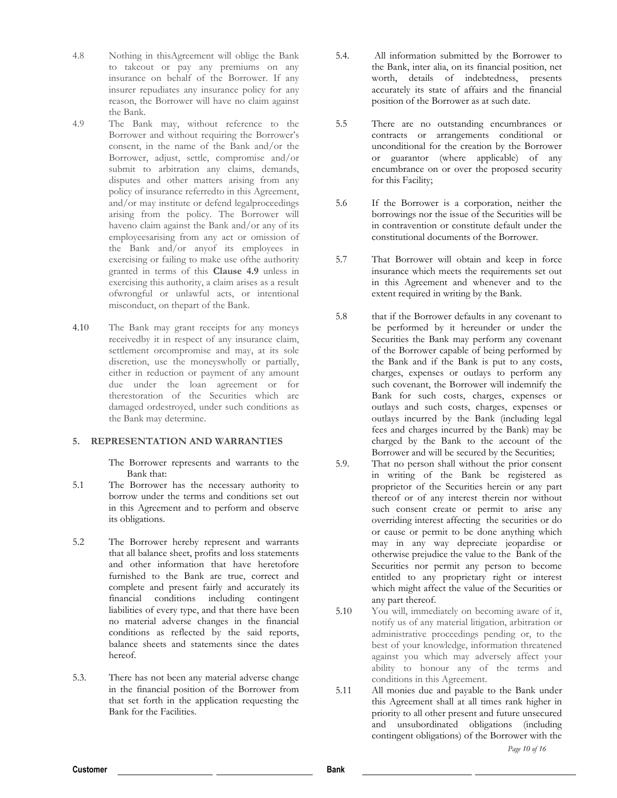- 4.8 Nothing in thisAgreement will oblige the Bank to takeout or pay any premiums on any insurance on behalf of the Borrower. If any insurer repudiates any insurance policy for any reason, the Borrower will have no claim against the Bank.
- 4.9 The Bank may, without reference to the Borrower and without requiring the Borrower's consent, in the name of the Bank and/or the Borrower, adjust, settle, compromise and/or submit to arbitration any claims, demands, disputes and other matters arising from any policy of insurance referredto in this Agreement, and/or may institute or defend legalproceedings arising from the policy. The Borrower will haveno claim against the Bank and/or any of its employeesarising from any act or omission of the Bank and/or anyof its employees in exercising or failing to make use ofthe authority granted in terms of this **Clause 4.9** unless in exercising this authority, a claim arises as a result ofwrongful or unlawful acts, or intentional misconduct, on thepart of the Bank.
- 4.10 The Bank may grant receipts for any moneys receivedby it in respect of any insurance claim, settlement orcompromise and may, at its sole discretion, use the moneyswholly or partially, either in reduction or payment of any amount due under the loan agreement or for therestoration of the Securities which are damaged ordestroyed, under such conditions as the Bank may determine.

#### **5. REPRESENTATION AND WARRANTIES**

The Borrower represents and warrants to the Bank that:

- 5.1 The Borrower has the necessary authority to borrow under the terms and conditions set out in this Agreement and to perform and observe its obligations.
- 5.2 The Borrower hereby represent and warrants that all balance sheet, profits and loss statements and other information that have heretofore furnished to the Bank are true, correct and complete and present fairly and accurately its financial conditions including contingent liabilities of every type, and that there have been no material adverse changes in the financial conditions as reflected by the said reports, balance sheets and statements since the dates hereof.
- 5.3. There has not been any material adverse change in the financial position of the Borrower from that set forth in the application requesting the Bank for the Facilities.
- 5.4. All information submitted by the Borrower to the Bank, inter alia, on its financial position, net worth, details of indebtedness, presents accurately its state of affairs and the financial position of the Borrower as at such date.
- 5.5 There are no outstanding encumbrances or contracts or arrangements conditional or unconditional for the creation by the Borrower or guarantor (where applicable) of any encumbrance on or over the proposed security for this Facility;
- 5.6 If the Borrower is a corporation, neither the borrowings nor the issue of the Securities will be in contravention or constitute default under the constitutional documents of the Borrower.
- 5.7 That Borrower will obtain and keep in force insurance which meets the requirements set out in this Agreement and whenever and to the extent required in writing by the Bank.
- 5.8 that if the Borrower defaults in any covenant to be performed by it hereunder or under the Securities the Bank may perform any covenant of the Borrower capable of being performed by the Bank and if the Bank is put to any costs, charges, expenses or outlays to perform any such covenant, the Borrower will indemnify the Bank for such costs, charges, expenses or outlays and such costs, charges, expenses or outlays incurred by the Bank (including legal fees and charges incurred by the Bank) may be charged by the Bank to the account of the Borrower and will be secured by the Securities;
- 5.9. That no person shall without the prior consent in writing of the Bank be registered as proprietor of the Securities herein or any part thereof or of any interest therein nor without such consent create or permit to arise any overriding interest affecting the securities or do or cause or permit to be done anything which may in any way depreciate jeopardise or otherwise prejudice the value to the Bank of the Securities nor permit any person to become entitled to any proprietary right or interest which might affect the value of the Securities or any part thereof.
- 5.10 You will, immediately on becoming aware of it, notify us of any material litigation, arbitration or administrative proceedings pending or, to the best of your knowledge, information threatened against you which may adversely affect your ability to honour any of the terms and conditions in this Agreement.
- 5.11 All monies due and payable to the Bank under this Agreement shall at all times rank higher in priority to all other present and future unsecured and unsubordinated obligations (including contingent obligations) of the Borrower with the

**Customer Bank**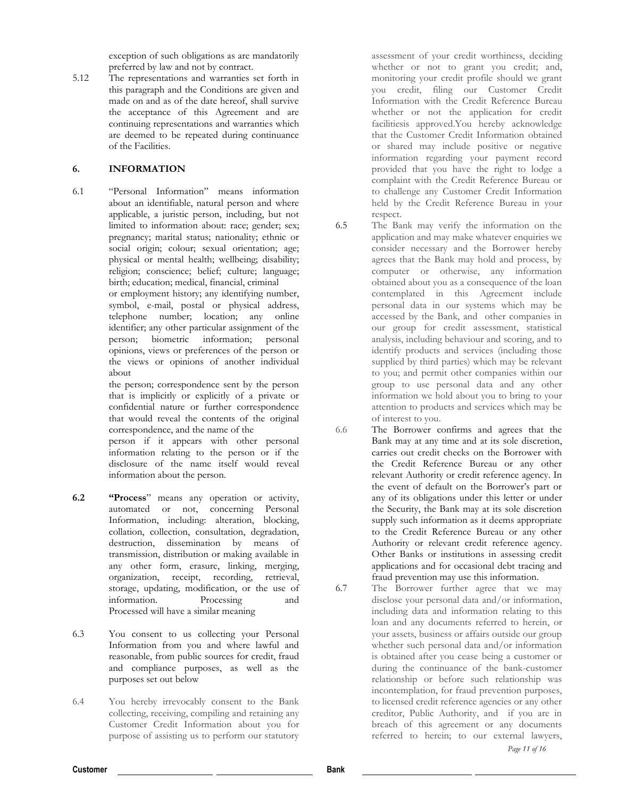exception of such obligations as are mandatorily preferred by law and not by contract.

5.12 The representations and warranties set forth in this paragraph and the Conditions are given and made on and as of the date hereof, shall survive the acceptance of this Agreement and are continuing representations and warranties which are deemed to be repeated during continuance of the Facilities.

## **6. INFORMATION**

6.1 "Personal Information" means information about an identifiable, natural person and where applicable, a juristic person, including, but not limited to information about: race; gender; sex; pregnancy; marital status; nationality; ethnic or social origin; colour; sexual orientation; age; physical or mental health; wellbeing; disability; religion; conscience; belief; culture; language; birth; education; medical, financial, criminal

or employment history; any identifying number, symbol, e-mail, postal or physical address, telephone number; location; any online identifier; any other particular assignment of the person; biometric information; personal opinions, views or preferences of the person or the views or opinions of another individual about

the person; correspondence sent by the person that is implicitly or explicitly of a private or confidential nature or further correspondence that would reveal the contents of the original correspondence, and the name of the

person if it appears with other personal information relating to the person or if the disclosure of the name itself would reveal information about the person.

- **6.2 "Process**" means any operation or activity, automated or not, concerning Personal Information, including: alteration, blocking, collation, collection, consultation, degradation, destruction, dissemination by means of transmission, distribution or making available in any other form, erasure, linking, merging, organization, receipt, recording, retrieval, storage, updating, modification, or the use of information. Processing and Processed will have a similar meaning
- 6.3 You consent to us collecting your Personal Information from you and where lawful and reasonable, from public sources for credit, fraud and compliance purposes, as well as the purposes set out below
- 6.4 You hereby irrevocably consent to the Bank collecting, receiving, compiling and retaining any Customer Credit Information about you for purpose of assisting us to perform our statutory

assessment of your credit worthiness, deciding whether or not to grant you credit; and, monitoring your credit profile should we grant you credit, filing our Customer Credit Information with the Credit Reference Bureau whether or not the application for credit facilitiesis approved.You hereby acknowledge that the Customer Credit Information obtained or shared may include positive or negative information regarding your payment record provided that you have the right to lodge a complaint with the Credit Reference Bureau or to challenge any Customer Credit Information held by the Credit Reference Bureau in your respect.

- 6.5 The Bank may verify the information on the application and may make whatever enquiries we consider necessary and the Borrower hereby agrees that the Bank may hold and process, by computer or otherwise, any information obtained about you as a consequence of the loan contemplated in this Agreement include personal data in our systems which may be accessed by the Bank, and other companies in our group for credit assessment, statistical analysis, including behaviour and scoring, and to identify products and services (including those supplied by third parties) which may be relevant to you; and permit other companies within our group to use personal data and any other information we hold about you to bring to your attention to products and services which may be of interest to you.
- 6.6 The Borrower confirms and agrees that the Bank may at any time and at its sole discretion, carries out credit checks on the Borrower with the Credit Reference Bureau or any other relevant Authority or credit reference agency. In the event of default on the Borrower's part or any of its obligations under this letter or under the Security, the Bank may at its sole discretion supply such information as it deems appropriate to the Credit Reference Bureau or any other Authority or relevant credit reference agency. Other Banks or institutions in assessing credit applications and for occasional debt tracing and fraud prevention may use this information.
- 6.7 The Borrower further agree that we may disclose your personal data and/or information, including data and information relating to this loan and any documents referred to herein, or your assets, business or affairs outside our group whether such personal data and/or information is obtained after you cease being a customer or during the continuance of the bank-customer relationship or before such relationship was incontemplation, for fraud prevention purposes, to licensed credit reference agencies or any other creditor, Public Authority, and if you are in breach of this agreement or any documents referred to herein; to our external lawyers,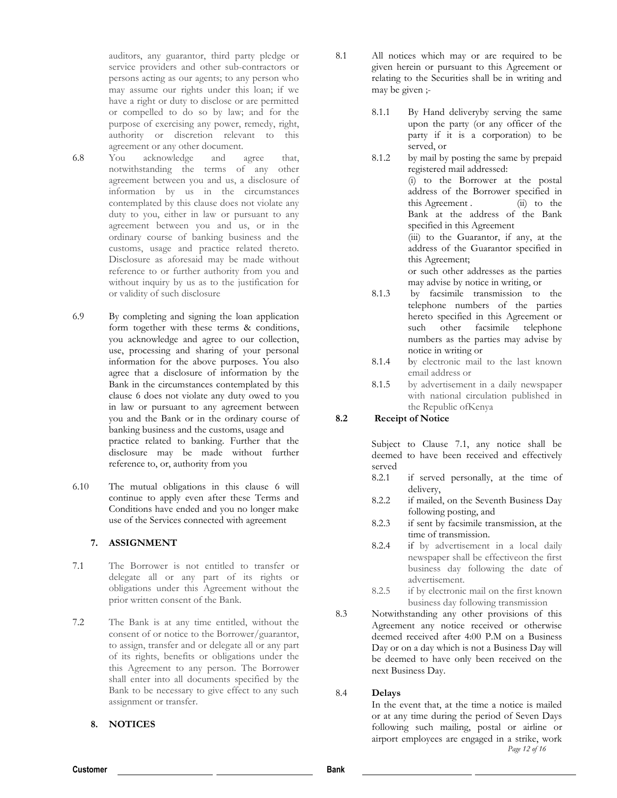auditors, any guarantor, third party pledge or service providers and other sub-contractors or persons acting as our agents; to any person who may assume our rights under this loan; if we have a right or duty to disclose or are permitted or compelled to do so by law; and for the purpose of exercising any power, remedy, right, authority or discretion relevant to this agreement or any other document.

- 6.8 You acknowledge and agree that, notwithstanding the terms of any other agreement between you and us, a disclosure of information by us in the circumstances contemplated by this clause does not violate any duty to you, either in law or pursuant to any agreement between you and us, or in the ordinary course of banking business and the customs, usage and practice related thereto. Disclosure as aforesaid may be made without reference to or further authority from you and without inquiry by us as to the justification for or validity of such disclosure
- 6.9 By completing and signing the loan application form together with these terms & conditions, you acknowledge and agree to our collection, use, processing and sharing of your personal information for the above purposes. You also agree that a disclosure of information by the Bank in the circumstances contemplated by this clause 6 does not violate any duty owed to you in law or pursuant to any agreement between you and the Bank or in the ordinary course of banking business and the customs, usage and practice related to banking. Further that the disclosure may be made without further reference to, or, authority from you
- 6.10 The mutual obligations in this clause 6 will continue to apply even after these Terms and Conditions have ended and you no longer make use of the Services connected with agreement

### **7. ASSIGNMENT**

- 7.1 The Borrower is not entitled to transfer or delegate all or any part of its rights or obligations under this Agreement without the prior written consent of the Bank.
- 7.2 The Bank is at any time entitled, without the consent of or notice to the Borrower/guarantor, to assign, transfer and or delegate all or any part of its rights, benefits or obligations under the this Agreement to any person. The Borrower shall enter into all documents specified by the Bank to be necessary to give effect to any such assignment or transfer.

# **8. NOTICES**

- 8.1 All notices which may or are required to be given herein or pursuant to this Agreement or relating to the Securities shall be in writing and may be given ;-
	- 8.1.1 By Hand deliveryby serving the same upon the party (or any officer of the party if it is a corporation) to be served, or
	- 8.1.2 by mail by posting the same by prepaid registered mail addressed: (i) to the Borrower at the postal address of the Borrower specified in this Agreement .  $(iii)$  to the Bank at the address of the Bank specified in this Agreement (iii) to the Guarantor, if any, at the

address of the Guarantor specified in this Agreement;

or such other addresses as the parties may advise by notice in writing, or

- 8.1.3 by facsimile transmission to the telephone numbers of the parties hereto specified in this Agreement or such other facsimile telephone numbers as the parties may advise by notice in writing or
- 8.1.4 by electronic mail to the last known email address or
- 8.1.5 by advertisement in a daily newspaper with national circulation published in the Republic ofKenya

### **8.2 Receipt of Notice**

Subject to Clause 7.1, any notice shall be deemed to have been received and effectively served<br>8.2.1

- if served personally, at the time of delivery,
- 8.2.2 if mailed, on the Seventh Business Day following posting, and
- 8.2.3 if sent by facsimile transmission, at the time of transmission.
- 8.2.4 if by advertisement in a local daily newspaper shall be effectiveon the first business day following the date of advertisement.
- 8.2.5 if by electronic mail on the first known business day following transmission
- 8.3 Notwithstanding any other provisions of this Agreement any notice received or otherwise deemed received after 4:00 P.M on a Business Day or on a day which is not a Business Day will be deemed to have only been received on the next Business Day.

### 8.4 **Delays**

*Page 12 of 16* In the event that, at the time a notice is mailed or at any time during the period of Seven Days following such mailing, postal or airline or airport employees are engaged in a strike, work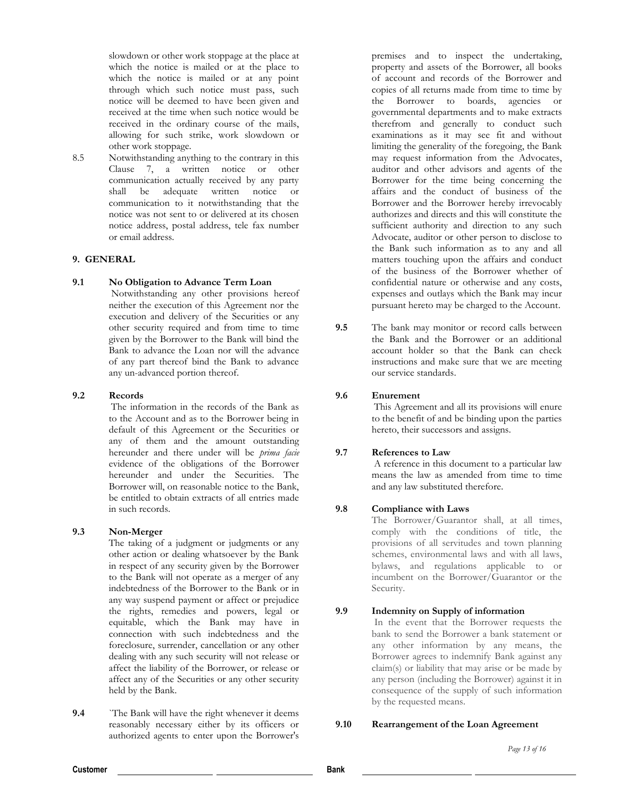slowdown or other work stoppage at the place at which the notice is mailed or at the place to which the notice is mailed or at any point through which such notice must pass, such notice will be deemed to have been given and received at the time when such notice would be received in the ordinary course of the mails, allowing for such strike, work slowdown or other work stoppage.

8.5 Notwithstanding anything to the contrary in this Clause 7, a written notice or other communication actually received by any party shall be adequate written notice or communication to it notwithstanding that the notice was not sent to or delivered at its chosen notice address, postal address, tele fax number or email address.

#### **9. GENERAL**

### **9.1 No Obligation to Advance Term Loan**

Notwithstanding any other provisions hereof neither the execution of this Agreement nor the execution and delivery of the Securities or any other security required and from time to time given by the Borrower to the Bank will bind the Bank to advance the Loan nor will the advance of any part thereof bind the Bank to advance any un-advanced portion thereof.

#### **9.2 Records**

The information in the records of the Bank as to the Account and as to the Borrower being in default of this Agreement or the Securities or any of them and the amount outstanding hereunder and there under will be *prima facie*  evidence of the obligations of the Borrower hereunder and under the Securities. The Borrower will, on reasonable notice to the Bank, be entitled to obtain extracts of all entries made in such records.

#### **9.3 Non-Merger**

The taking of a judgment or judgments or any other action or dealing whatsoever by the Bank in respect of any security given by the Borrower to the Bank will not operate as a merger of any indebtedness of the Borrower to the Bank or in any way suspend payment or affect or prejudice the rights, remedies and powers, legal or equitable, which the Bank may have in connection with such indebtedness and the foreclosure, surrender, cancellation or any other dealing with any such security will not release or affect the liability of the Borrower, or release or affect any of the Securities or any other security held by the Bank.

**9.4** ``The Bank will have the right whenever it deems reasonably necessary either by its officers or authorized agents to enter upon the Borrower's premises and to inspect the undertaking, property and assets of the Borrower, all books of account and records of the Borrower and copies of all returns made from time to time by the Borrower to boards, agencies or governmental departments and to make extracts therefrom and generally to conduct such examinations as it may see fit and without limiting the generality of the foregoing, the Bank may request information from the Advocates, auditor and other advisors and agents of the Borrower for the time being concerning the affairs and the conduct of business of the Borrower and the Borrower hereby irrevocably authorizes and directs and this will constitute the sufficient authority and direction to any such Advocate, auditor or other person to disclose to the Bank such information as to any and all matters touching upon the affairs and conduct of the business of the Borrower whether of confidential nature or otherwise and any costs, expenses and outlays which the Bank may incur pursuant hereto may be charged to the Account.

**9.5** The bank may monitor or record calls between the Bank and the Borrower or an additional account holder so that the Bank can check instructions and make sure that we are meeting our service standards.

#### **9.6 Enurement**

This Agreement and all its provisions will enure to the benefit of and be binding upon the parties hereto, their successors and assigns.

### **9.7 References to Law**

A reference in this document to a particular law means the law as amended from time to time and any law substituted therefore.

## **9.8 Compliance with Laws**

The Borrower/Guarantor shall, at all times, comply with the conditions of title, the provisions of all servitudes and town planning schemes, environmental laws and with all laws, bylaws, and regulations applicable to or incumbent on the Borrower/Guarantor or the Security.

## **9.9 Indemnity on Supply of information**

In the event that the Borrower requests the bank to send the Borrower a bank statement or any other information by any means, the Borrower agrees to indemnify Bank against any claim(s) or liability that may arise or be made by any person (including the Borrower) against it in consequence of the supply of such information by the requested means.

#### **9.10 Rearrangement of the Loan Agreement**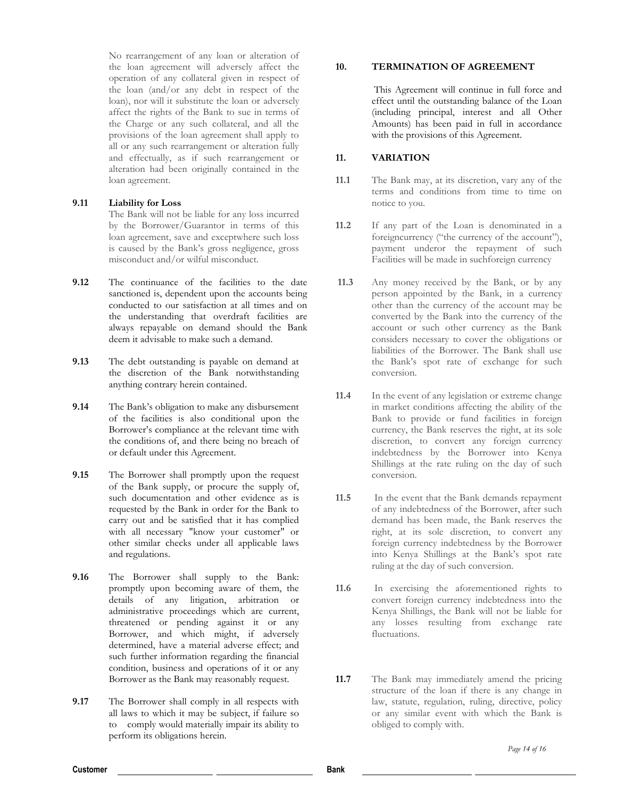No rearrangement of any loan or alteration of the loan agreement will adversely affect the operation of any collateral given in respect of the loan (and/or any debt in respect of the loan), nor will it substitute the loan or adversely affect the rights of the Bank to sue in terms of the Charge or any such collateral, and all the provisions of the loan agreement shall apply to all or any such rearrangement or alteration fully and effectually, as if such rearrangement or alteration had been originally contained in the loan agreement.

## **9.11 Liability for Loss**

The Bank will not be liable for any loss incurred by the Borrower/Guarantor in terms of this loan agreement, save and exceptwhere such loss is caused by the Bank's gross negligence, gross misconduct and/or wilful misconduct.

- **9.12** The continuance of the facilities to the date sanctioned is, dependent upon the accounts being conducted to our satisfaction at all times and on the understanding that overdraft facilities are always repayable on demand should the Bank deem it advisable to make such a demand.
- **9.13** The debt outstanding is payable on demand at the discretion of the Bank notwithstanding anything contrary herein contained.
- **9.14** The Bank's obligation to make any disbursement of the facilities is also conditional upon the Borrower's compliance at the relevant time with the conditions of, and there being no breach of or default under this Agreement.
- **9.15** The Borrower shall promptly upon the request of the Bank supply, or procure the supply of, such documentation and other evidence as is requested by the Bank in order for the Bank to carry out and be satisfied that it has complied with all necessary "know your customer" or other similar checks under all applicable laws and regulations.
- **9.16** The Borrower shall supply to the Bank: promptly upon becoming aware of them, the details of any litigation, arbitration or administrative proceedings which are current, threatened or pending against it or any Borrower, and which might, if adversely determined, have a material adverse effect; and such further information regarding the financial condition, business and operations of it or any Borrower as the Bank may reasonably request.
- **9.17** The Borrower shall comply in all respects with all laws to which it may be subject, if failure so to comply would materially impair its ability to perform its obligations herein.

### **10. TERMINATION OF AGREEMENT**

This Agreement will continue in full force and effect until the outstanding balance of the Loan (including principal, interest and all Other Amounts) has been paid in full in accordance with the provisions of this Agreement.

### **11. VARIATION**

- **11.1** The Bank may, at its discretion, vary any of the terms and conditions from time to time on notice to you.
- **11.2** If any part of the Loan is denominated in a foreigncurrency ("the currency of the account"), payment underor the repayment of such Facilities will be made in suchforeign currency
- **11.3** Any money received by the Bank, or by any person appointed by the Bank, in a currency other than the currency of the account may be converted by the Bank into the currency of the account or such other currency as the Bank considers necessary to cover the obligations or liabilities of the Borrower. The Bank shall use the Bank's spot rate of exchange for such conversion.
- **11.4** In the event of any legislation or extreme change in market conditions affecting the ability of the Bank to provide or fund facilities in foreign currency, the Bank reserves the right, at its sole discretion, to convert any foreign currency indebtedness by the Borrower into Kenya Shillings at the rate ruling on the day of such conversion.
- **11.5** In the event that the Bank demands repayment of any indebtedness of the Borrower, after such demand has been made, the Bank reserves the right, at its sole discretion, to convert any foreign currency indebtedness by the Borrower into Kenya Shillings at the Bank's spot rate ruling at the day of such conversion.
- **11.6** In exercising the aforementioned rights to convert foreign currency indebtedness into the Kenya Shillings, the Bank will not be liable for any losses resulting from exchange rate fluctuations.
- **11.7** The Bank may immediately amend the pricing structure of the loan if there is any change in law, statute, regulation, ruling, directive, policy or any similar event with which the Bank is obliged to comply with.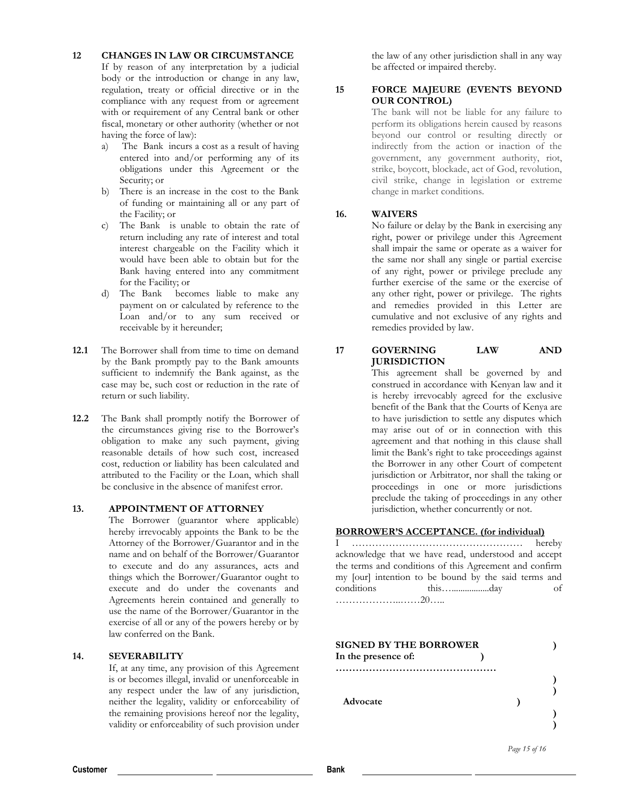### **12 CHANGES IN LAW OR CIRCUMSTANCE**

If by reason of any interpretation by a judicial body or the introduction or change in any law, regulation, treaty or official directive or in the compliance with any request from or agreement with or requirement of any Central bank or other fiscal, monetary or other authority (whether or not having the force of law):

- a) The Bank incurs a cost as a result of having entered into and/or performing any of its obligations under this Agreement or the Security; or
- b) There is an increase in the cost to the Bank of funding or maintaining all or any part of the Facility; or
- c) The Bank is unable to obtain the rate of return including any rate of interest and total interest chargeable on the Facility which it would have been able to obtain but for the Bank having entered into any commitment for the Facility; or
- d) The Bank becomes liable to make any payment on or calculated by reference to the Loan and/or to any sum received or receivable by it hereunder;
- **12.1** The Borrower shall from time to time on demand by the Bank promptly pay to the Bank amounts sufficient to indemnify the Bank against, as the case may be, such cost or reduction in the rate of return or such liability.
- **12.2** The Bank shall promptly notify the Borrower of the circumstances giving rise to the Borrower's obligation to make any such payment, giving reasonable details of how such cost, increased cost, reduction or liability has been calculated and attributed to the Facility or the Loan, which shall be conclusive in the absence of manifest error.

## **13. APPOINTMENT OF ATTORNEY**

The Borrower (guarantor where applicable) hereby irrevocably appoints the Bank to be the Attorney of the Borrower/Guarantor and in the name and on behalf of the Borrower/Guarantor to execute and do any assurances, acts and things which the Borrower/Guarantor ought to execute and do under the covenants and Agreements herein contained and generally to use the name of the Borrower/Guarantor in the exercise of all or any of the powers hereby or by law conferred on the Bank.

#### **14. SEVERABILITY**

If, at any time, any provision of this Agreement is or becomes illegal, invalid or unenforceable in any respect under the law of any jurisdiction, neither the legality, validity or enforceability of the remaining provisions hereof nor the legality, validity or enforceability of such provision under

the law of any other jurisdiction shall in any way be affected or impaired thereby.

#### **15 FORCE MAJEURE (EVENTS BEYOND OUR CONTROL)**

The bank will not be liable for any failure to perform its obligations herein caused by reasons beyond our control or resulting directly or indirectly from the action or inaction of the government, any government authority, riot, strike, boycott, blockade, act of God, revolution, civil strike, change in legislation or extreme change in market conditions.

#### **16. WAIVERS**

No failure or delay by the Bank in exercising any right, power or privilege under this Agreement shall impair the same or operate as a waiver for the same nor shall any single or partial exercise of any right, power or privilege preclude any further exercise of the same or the exercise of any other right, power or privilege. The rights and remedies provided in this Letter are cumulative and not exclusive of any rights and remedies provided by law.

# **17 GOVERNING LAW AND JURISDICTION**

This agreement shall be governed by and construed in accordance with Kenyan law and it is hereby irrevocably agreed for the exclusive benefit of the Bank that the Courts of Kenya are to have jurisdiction to settle any disputes which may arise out of or in connection with this agreement and that nothing in this clause shall limit the Bank's right to take proceedings against the Borrower in any other Court of competent jurisdiction or Arbitrator, nor shall the taking or proceedings in one or more jurisdictions preclude the taking of proceedings in any other jurisdiction, whether concurrently or not.

### **BORROWER'S ACCEPTANCE. (for individual)**

I …………………………………………… hereby acknowledge that we have read, understood and accept the terms and conditions of this Agreement and confirm my [our] intention to be bound by the said terms and conditions this….................day of ………………..……20…..

| <b>SIGNED BY THE BORROWER</b> |  |
|-------------------------------|--|
| In the presence of:           |  |
| Advocate                      |  |